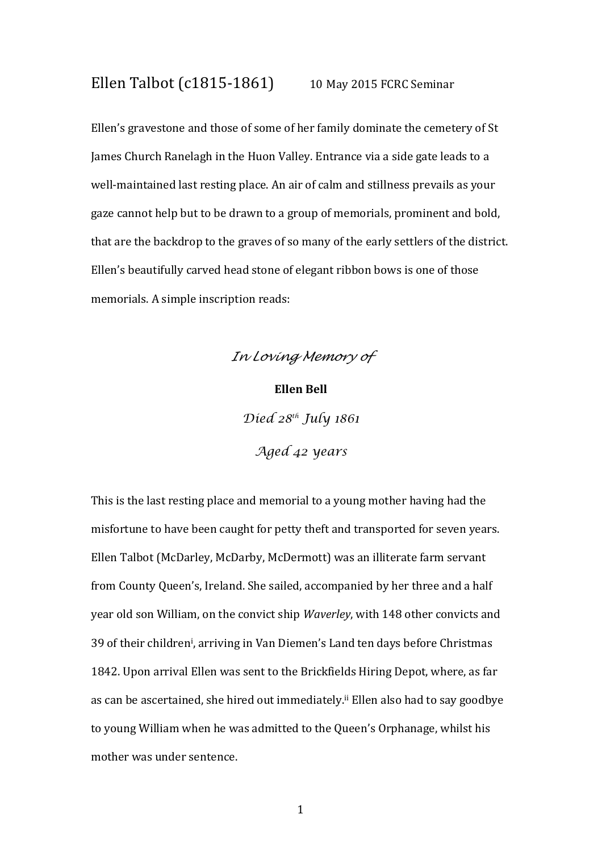## Ellen Talbot (c1815-1861) 10 May 2015 FCRC Seminar

Ellen's gravestone and those of some of her family dominate the cemetery of St James Church Ranelagh in the Huon Valley. Entrance via a side gate leads to a well-maintained last resting place. An air of calm and stillness prevails as your gaze cannot help but to be drawn to a group of memorials, prominent and bold, that are the backdrop to the graves of so many of the early settlers of the district. Ellen's beautifully carved head stone of elegant ribbon bows is one of those memorials. A simple inscription reads:



This is the last resting place and memorial to a young mother having had the misfortune to have been caught for petty theft and transported for seven years. Ellen Talbot (McDarley, McDarby, McDermott) was an illiterate farm servant from County Queen's, Ireland. She sailed, accompanied by her three and a half year old son William, on the convict ship Waverley, with 148 other convicts and 39 of their children<sup>i</sup> , arriving in Van Diemen's Land ten days before Christmas 1842. Upon arrival Ellen was sent to the Brickfields Hiring Depot, where, as far as can be ascertained, she hired out immediately.<sup>ii</sup> Ellen also had to say goodbye to young William when he was admitted to the Queen's Orphanage, whilst his mother was under sentence.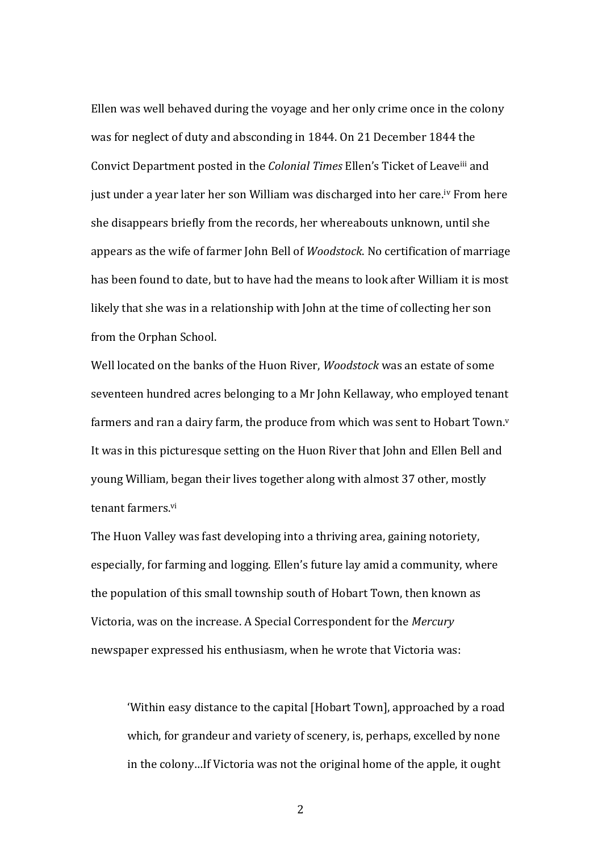Ellen was well behaved during the voyage and her only crime once in the colony was for neglect of duty and absconding in 1844. On 21 December 1844 the Convict Department posted in the Colonial Times Ellen's Ticket of Leaveiii and just under a year later her son William was discharged into her care.iv From here she disappears briefly from the records, her whereabouts unknown, until she appears as the wife of farmer John Bell of Woodstock. No certification of marriage has been found to date, but to have had the means to look after William it is most likely that she was in a relationship with John at the time of collecting her son from the Orphan School.

Well located on the banks of the Huon River, Woodstock was an estate of some seventeen hundred acres belonging to a Mr John Kellaway, who employed tenant farmers and ran a dairy farm, the produce from which was sent to Hobart Town.<sup>y</sup> It was in this picturesque setting on the Huon River that John and Ellen Bell and young William, began their lives together along with almost 37 other, mostly tenant farmers.vi

The Huon Valley was fast developing into a thriving area, gaining notoriety, especially, for farming and logging. Ellen's future lay amid a community, where the population of this small township south of Hobart Town, then known as Victoria, was on the increase. A Special Correspondent for the Mercury newspaper expressed his enthusiasm, when he wrote that Victoria was:

'Within easy distance to the capital [Hobart Town], approached by a road which, for grandeur and variety of scenery, is, perhaps, excelled by none in the colony…If Victoria was not the original home of the apple, it ought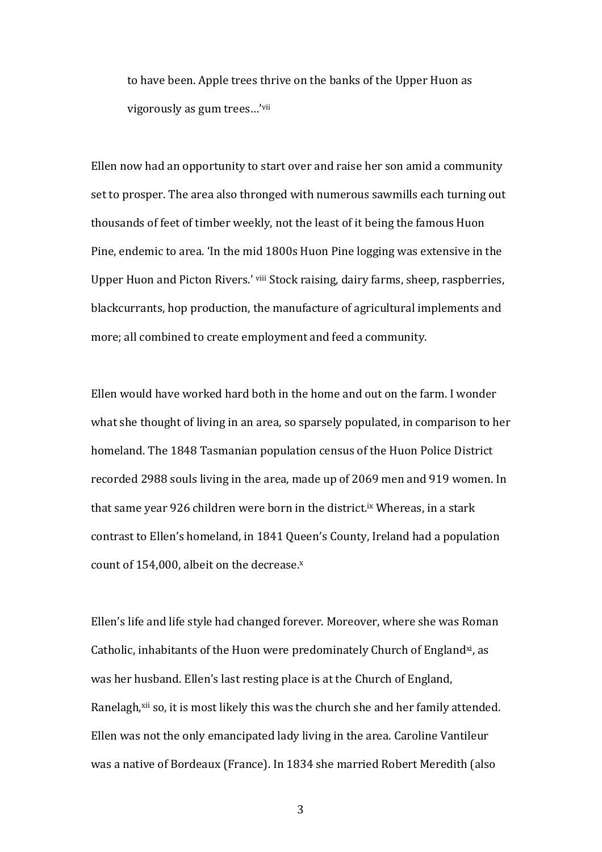to have been. Apple trees thrive on the banks of the Upper Huon as vigorously as gum trees…'vii

Ellen now had an opportunity to start over and raise her son amid a community set to prosper. The area also thronged with numerous sawmills each turning out thousands of feet of timber weekly, not the least of it being the famous Huon Pine, endemic to area. 'In the mid 1800s Huon Pine logging was extensive in the Upper Huon and Picton Rivers.' viii Stock raising, dairy farms, sheep, raspberries, blackcurrants, hop production, the manufacture of agricultural implements and more; all combined to create employment and feed a community.

Ellen would have worked hard both in the home and out on the farm. I wonder what she thought of living in an area, so sparsely populated, in comparison to her homeland. The 1848 Tasmanian population census of the Huon Police District recorded 2988 souls living in the area, made up of 2069 men and 919 women. In that same year 926 children were born in the district.ix Whereas, in a stark contrast to Ellen's homeland, in 1841 Queen's County, Ireland had a population count of  $154,000$ , albeit on the decrease. $x$ 

Ellen's life and life style had changed forever. Moreover, where she was Roman Catholic, inhabitants of the Huon were predominately Church of England<sup>xi</sup>, as was her husband. Ellen's last resting place is at the Church of England, Ranelagh,<sup>xii</sup> so, it is most likely this was the church she and her family attended. Ellen was not the only emancipated lady living in the area. Caroline Vantileur was a native of Bordeaux (France). In 1834 she married Robert Meredith (also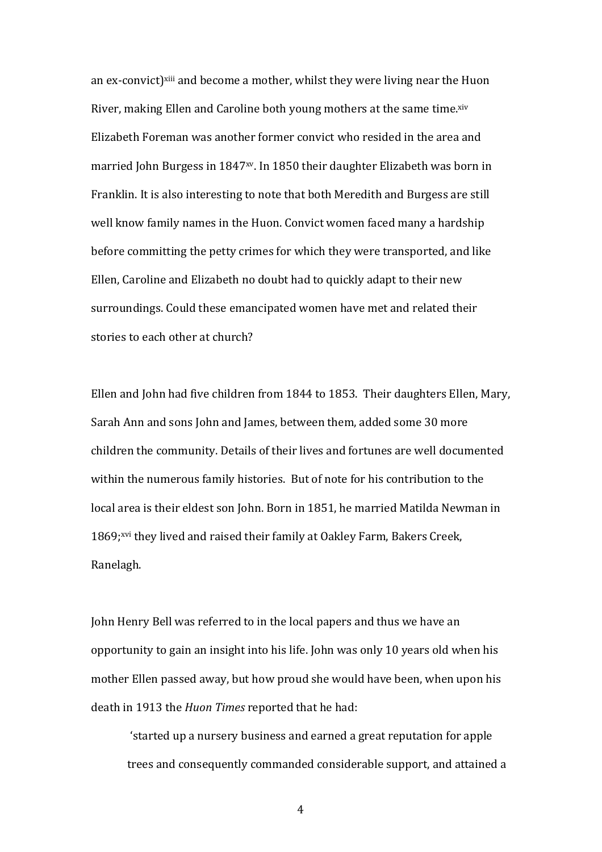an ex-convict)<sup>xiii</sup> and become a mother, whilst they were living near the Huon River, making Ellen and Caroline both young mothers at the same time.xiv Elizabeth Foreman was another former convict who resided in the area and married John Burgess in 1847<sup>xv</sup>. In 1850 their daughter Elizabeth was born in Franklin. It is also interesting to note that both Meredith and Burgess are still well know family names in the Huon. Convict women faced many a hardship before committing the petty crimes for which they were transported, and like Ellen, Caroline and Elizabeth no doubt had to quickly adapt to their new surroundings. Could these emancipated women have met and related their stories to each other at church?

Ellen and John had five children from 1844 to 1853. Their daughters Ellen, Mary, Sarah Ann and sons John and James, between them, added some 30 more children the community. Details of their lives and fortunes are well documented within the numerous family histories. But of note for his contribution to the local area is their eldest son John. Born in 1851, he married Matilda Newman in 1869;xvi they lived and raised their family at Oakley Farm, Bakers Creek, Ranelagh.

John Henry Bell was referred to in the local papers and thus we have an opportunity to gain an insight into his life. John was only 10 years old when his mother Ellen passed away, but how proud she would have been, when upon his death in 1913 the Huon Times reported that he had:

'started up a nursery business and earned a great reputation for apple trees and consequently commanded considerable support, and attained a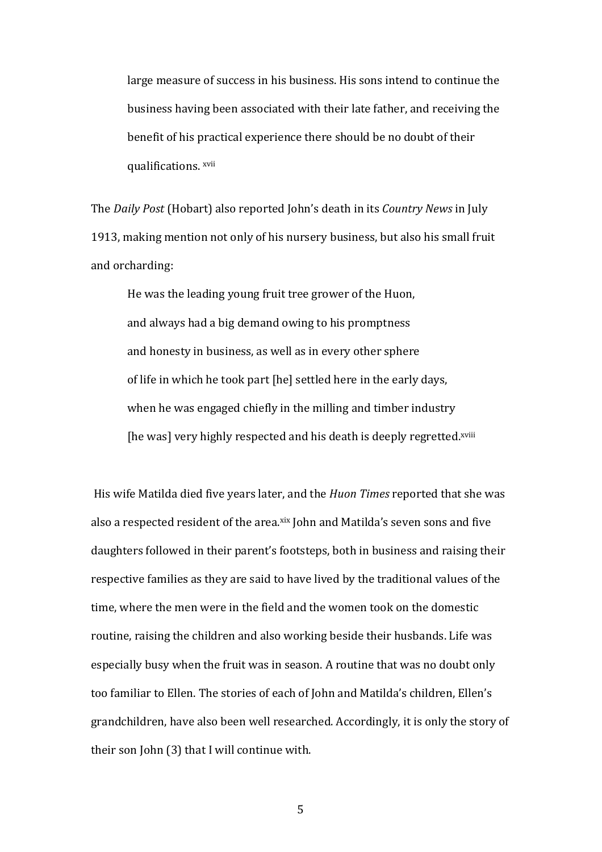large measure of success in his business. His sons intend to continue the business having been associated with their late father, and receiving the benefit of his practical experience there should be no doubt of their qualifications. xvii

The Daily Post (Hobart) also reported John's death in its Country News in July 1913, making mention not only of his nursery business, but also his small fruit and orcharding:

He was the leading young fruit tree grower of the Huon, and always had a big demand owing to his promptness and honesty in business, as well as in every other sphere of life in which he took part [he] settled here in the early days, when he was engaged chiefly in the milling and timber industry [he was] very highly respected and his death is deeply regretted.xviii

 His wife Matilda died five years later, and the Huon Times reported that she was also a respected resident of the area.xix John and Matilda's seven sons and five daughters followed in their parent's footsteps, both in business and raising their respective families as they are said to have lived by the traditional values of the time, where the men were in the field and the women took on the domestic routine, raising the children and also working beside their husbands. Life was especially busy when the fruit was in season. A routine that was no doubt only too familiar to Ellen. The stories of each of John and Matilda's children, Ellen's grandchildren, have also been well researched. Accordingly, it is only the story of their son John (3) that I will continue with.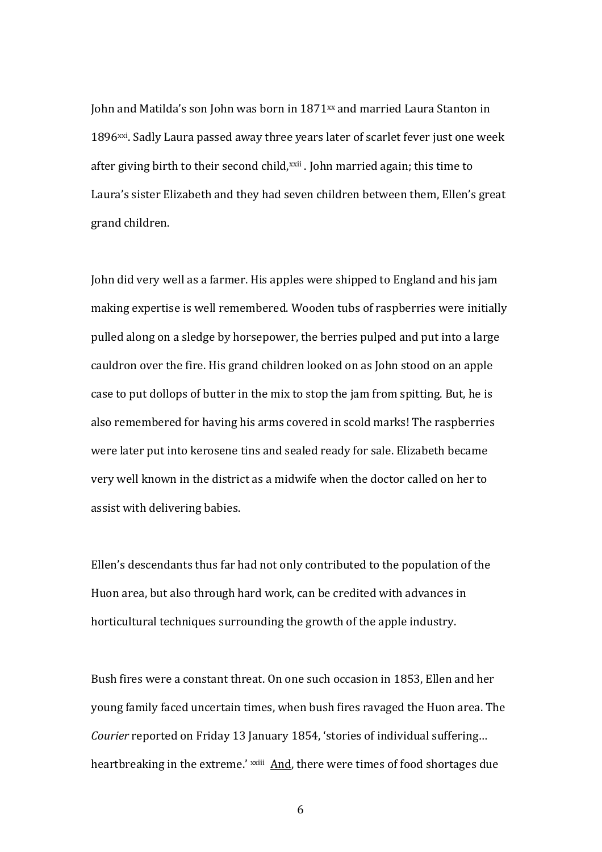John and Matilda's son John was born in 1871xx and married Laura Stanton in 1896xxi. Sadly Laura passed away three years later of scarlet fever just one week after giving birth to their second child,<sup>xxii</sup>. John married again; this time to Laura's sister Elizabeth and they had seven children between them, Ellen's great grand children.

John did very well as a farmer. His apples were shipped to England and his jam making expertise is well remembered. Wooden tubs of raspberries were initially pulled along on a sledge by horsepower, the berries pulped and put into a large cauldron over the fire. His grand children looked on as John stood on an apple case to put dollops of butter in the mix to stop the jam from spitting. But, he is also remembered for having his arms covered in scold marks! The raspberries were later put into kerosene tins and sealed ready for sale. Elizabeth became very well known in the district as a midwife when the doctor called on her to assist with delivering babies.

Ellen's descendants thus far had not only contributed to the population of the Huon area, but also through hard work, can be credited with advances in horticultural techniques surrounding the growth of the apple industry.

Bush fires were a constant threat. On one such occasion in 1853, Ellen and her young family faced uncertain times, when bush fires ravaged the Huon area. The Courier reported on Friday 13 January 1854, 'stories of individual suffering… heartbreaking in the extreme.' xxiii And, there were times of food shortages due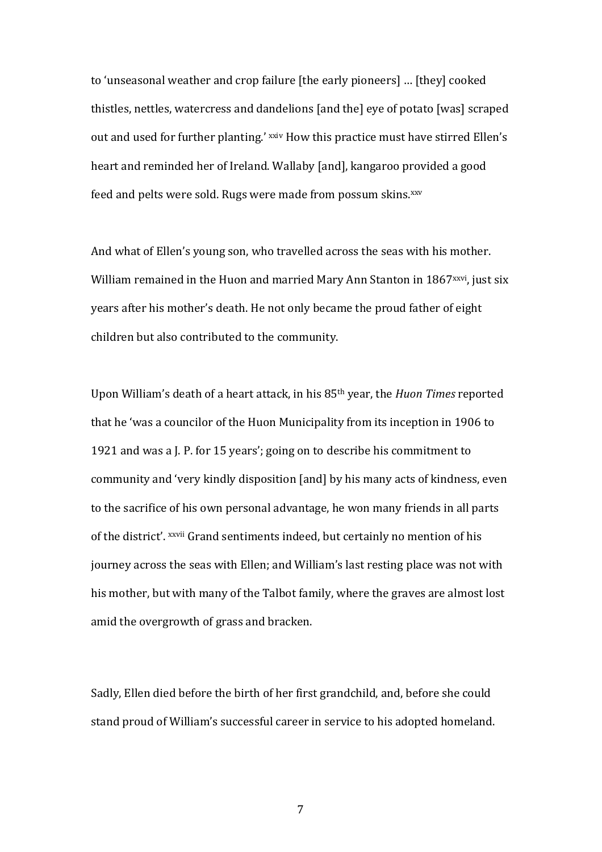to 'unseasonal weather and crop failure [the early pioneers] … [they] cooked thistles, nettles, watercress and dandelions [and the] eye of potato [was] scraped out and used for further planting.' xxiv How this practice must have stirred Ellen's heart and reminded her of Ireland. Wallaby [and], kangaroo provided a good feed and pelts were sold. Rugs were made from possum skins.xxv

And what of Ellen's young son, who travelled across the seas with his mother. William remained in the Huon and married Mary Ann Stanton in 1867<sup>xxvi</sup>, just six years after his mother's death. He not only became the proud father of eight children but also contributed to the community.

Upon William's death of a heart attack, in his 85<sup>th</sup> year, the *Huon Times* reported that he 'was a councilor of the Huon Municipality from its inception in 1906 to 1921 and was a J. P. for 15 years'; going on to describe his commitment to community and 'very kindly disposition [and] by his many acts of kindness, even to the sacrifice of his own personal advantage, he won many friends in all parts of the district'. xxvii Grand sentiments indeed, but certainly no mention of his journey across the seas with Ellen; and William's last resting place was not with his mother, but with many of the Talbot family, where the graves are almost lost amid the overgrowth of grass and bracken.

Sadly, Ellen died before the birth of her first grandchild, and, before she could stand proud of William's successful career in service to his adopted homeland.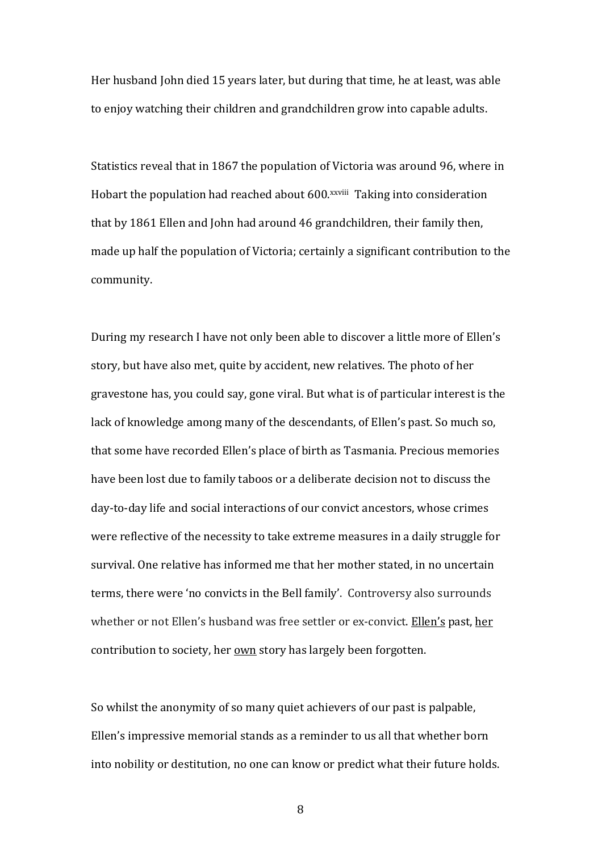Her husband John died 15 years later, but during that time, he at least, was able to enjoy watching their children and grandchildren grow into capable adults.

Statistics reveal that in 1867 the population of Victoria was around 96, where in Hobart the population had reached about 600.xxviii Taking into consideration that by 1861 Ellen and John had around 46 grandchildren, their family then, made up half the population of Victoria; certainly a significant contribution to the community.

During my research I have not only been able to discover a little more of Ellen's story, but have also met, quite by accident, new relatives. The photo of her gravestone has, you could say, gone viral. But what is of particular interest is the lack of knowledge among many of the descendants, of Ellen's past. So much so, that some have recorded Ellen's place of birth as Tasmania. Precious memories have been lost due to family taboos or a deliberate decision not to discuss the day-to-day life and social interactions of our convict ancestors, whose crimes were reflective of the necessity to take extreme measures in a daily struggle for survival. One relative has informed me that her mother stated, in no uncertain terms, there were 'no convicts in the Bell family'. Controversy also surrounds whether or not Ellen's husband was free settler or ex-convict. Ellen's past, her contribution to society, her own story has largely been forgotten.

So whilst the anonymity of so many quiet achievers of our past is palpable, Ellen's impressive memorial stands as a reminder to us all that whether born into nobility or destitution, no one can know or predict what their future holds.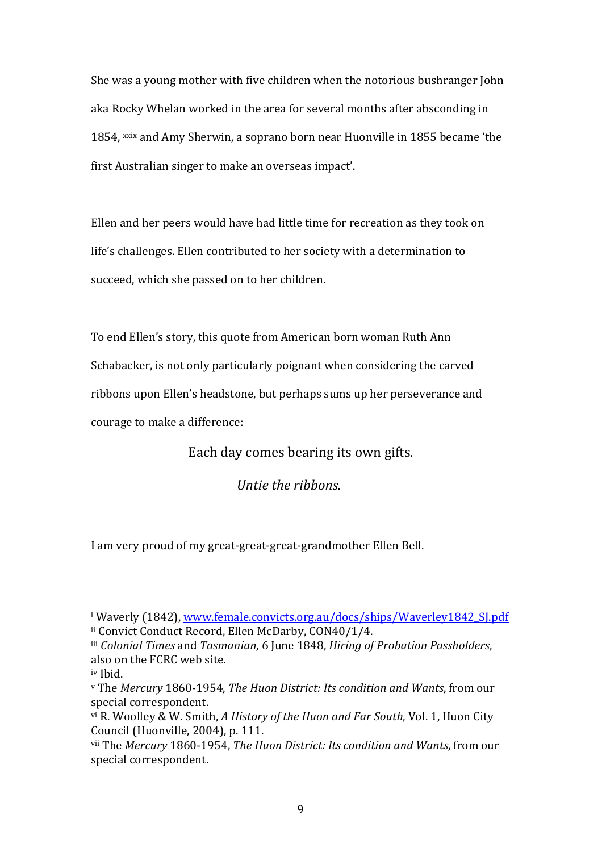She was a young mother with five children when the notorious bushranger John aka Rocky Whelan worked in the area for several months after absconding in 1854, xxix and Amy Sherwin, a soprano born near Huonville in 1855 became 'the first Australian singer to make an overseas impact'.

Ellen and her peers would have had little time for recreation as they took on life's challenges. Ellen contributed to her society with a determination to succeed, which she passed on to her children.

To end Ellen's story, this quote from American born woman Ruth Ann Schabacker, is not only particularly poignant when considering the carved ribbons upon Ellen's headstone, but perhaps sums up her perseverance and courage to make a difference:

Each day comes bearing its own gifts.

Untie the ribbons.

I am very proud of my great-great-great-grandmother Ellen Bell.

 $\overline{a}$ 

<sup>&</sup>lt;sup>i</sup> Waverly (1842), <u>www.female.convicts.org.au/docs/ships/Waverley1842\_SJ.pdf</u> ii Convict Conduct Record, Ellen McDarby, CON40/1/4.

iii Colonial Times and Tasmanian, 6 June 1848, Hiring of Probation Passholders, also on the FCRC web site.

iv Ibid.

<sup>v</sup> The Mercury 1860-1954, The Huon District: Its condition and Wants, from our special correspondent.

vi R. Woolley & W. Smith, A History of the Huon and Far South, Vol. 1, Huon City Council (Huonville, 2004), p. 111.

vii The Mercury 1860-1954, The Huon District: Its condition and Wants, from our special correspondent.